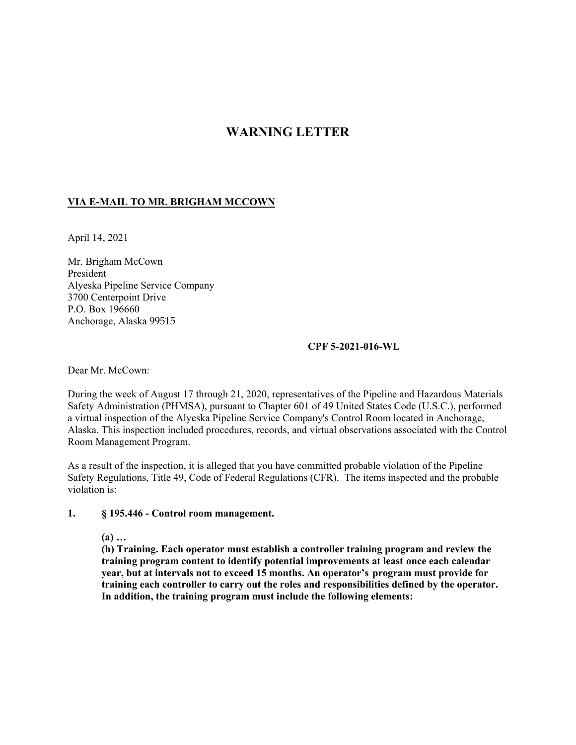# **WARNING LETTER**

# **VIA E-MAIL TO MR. BRIGHAM MCCOWN**

April 14, 2021

Mr. Brigham McCown President Alyeska Pipeline Service Company 3700 Centerpoint Drive P.O. Box 196660 Anchorage, Alaska 99515

### **CPF 5-2021-016-WL**

Dear Mr. McCown:

During the week of August 17 through 21, 2020, representatives of the Pipeline and Hazardous Materials Safety Administration (PHMSA), pursuant to Chapter 601 of 49 United States Code (U.S.C.), performed a virtual inspection of the Alyeska Pipeline Service Company's Control Room located in Anchorage, Alaska. This inspection included procedures, records, and virtual observations associated with the Control Room Management Program.

As a result of the inspection, it is alleged that you have committed probable violation of the Pipeline Safety Regulations, Title 49, Code of Federal Regulations (CFR). The items inspected and the probable violation is:

#### $\mathbf{1}$ . **1. § 195.446 - Control room management.**

 **(a) …** 

**(h) Training. Each operator must establish a controller training program and review the training program content to identify potential improvements at least once each calendar year, but at intervals not to exceed 15 months. An operator's program must provide for training each controller to carry out the roles and responsibilities defined by the operator. In addition, the training program must include the following elements:**